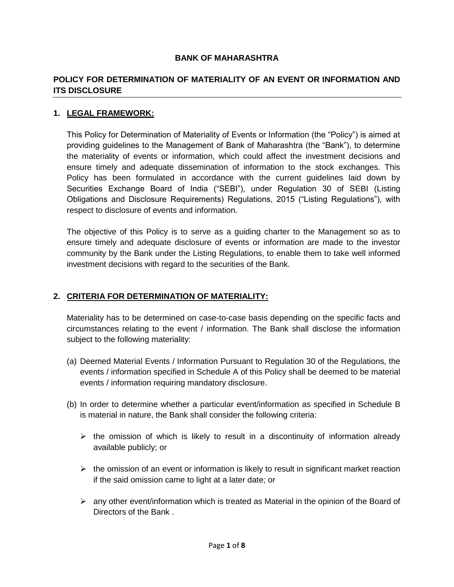#### **BANK OF MAHARASHTRA**

### **POLICY FOR DETERMINATION OF MATERIALITY OF AN EVENT OR INFORMATION AND ITS DISCLOSURE**

#### **1. LEGAL FRAMEWORK:**

This Policy for Determination of Materiality of Events or Information (the "Policy") is aimed at providing guidelines to the Management of Bank of Maharashtra (the "Bank"), to determine the materiality of events or information, which could affect the investment decisions and ensure timely and adequate dissemination of information to the stock exchanges. This Policy has been formulated in accordance with the current guidelines laid down by Securities Exchange Board of India ("SEBI"), under Regulation 30 of SEBI (Listing Obligations and Disclosure Requirements) Regulations, 2015 ("Listing Regulations"), with respect to disclosure of events and information.

The objective of this Policy is to serve as a guiding charter to the Management so as to ensure timely and adequate disclosure of events or information are made to the investor community by the Bank under the Listing Regulations, to enable them to take well informed investment decisions with regard to the securities of the Bank.

#### **2. CRITERIA FOR DETERMINATION OF MATERIALITY:**

Materiality has to be determined on case-to-case basis depending on the specific facts and circumstances relating to the event / information. The Bank shall disclose the information subject to the following materiality:

- (a) Deemed Material Events / Information Pursuant to Regulation 30 of the Regulations, the events / information specified in Schedule A of this Policy shall be deemed to be material events / information requiring mandatory disclosure.
- (b) In order to determine whether a particular event/information as specified in Schedule B is material in nature, the Bank shall consider the following criteria:
	- $\triangleright$  the omission of which is likely to result in a discontinuity of information already available publicly; or
	- $\triangleright$  the omission of an event or information is likely to result in significant market reaction if the said omission came to light at a later date; or
	- $\triangleright$  any other event/information which is treated as Material in the opinion of the Board of Directors of the Bank .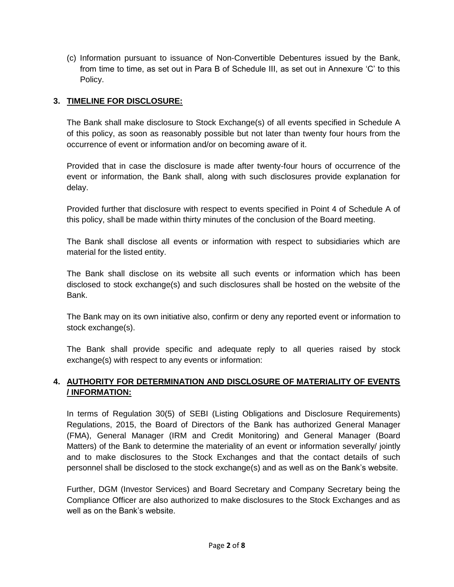(c) Information pursuant to issuance of Non-Convertible Debentures issued by the Bank, from time to time, as set out in Para B of Schedule III, as set out in Annexure "C" to this Policy.

# **3. TIMELINE FOR DISCLOSURE:**

The Bank shall make disclosure to Stock Exchange(s) of all events specified in Schedule A of this policy, as soon as reasonably possible but not later than twenty four hours from the occurrence of event or information and/or on becoming aware of it.

Provided that in case the disclosure is made after twenty-four hours of occurrence of the event or information, the Bank shall, along with such disclosures provide explanation for delay.

Provided further that disclosure with respect to events specified in Point 4 of Schedule A of this policy, shall be made within thirty minutes of the conclusion of the Board meeting.

The Bank shall disclose all events or information with respect to subsidiaries which are material for the listed entity.

The Bank shall disclose on its website all such events or information which has been disclosed to stock exchange(s) and such disclosures shall be hosted on the website of the Bank.

The Bank may on its own initiative also, confirm or deny any reported event or information to stock exchange(s).

The Bank shall provide specific and adequate reply to all queries raised by stock exchange(s) with respect to any events or information:

# **4. AUTHORITY FOR DETERMINATION AND DISCLOSURE OF MATERIALITY OF EVENTS / INFORMATION:**

In terms of Regulation 30(5) of SEBI (Listing Obligations and Disclosure Requirements) Regulations, 2015, the Board of Directors of the Bank has authorized General Manager (FMA), General Manager (IRM and Credit Monitoring) and General Manager (Board Matters) of the Bank to determine the materiality of an event or information severally/ jointly and to make disclosures to the Stock Exchanges and that the contact details of such personnel shall be disclosed to the stock exchange(s) and as well as on the Bank"s website.

Further, DGM (Investor Services) and Board Secretary and Company Secretary being the Compliance Officer are also authorized to make disclosures to the Stock Exchanges and as well as on the Bank's website.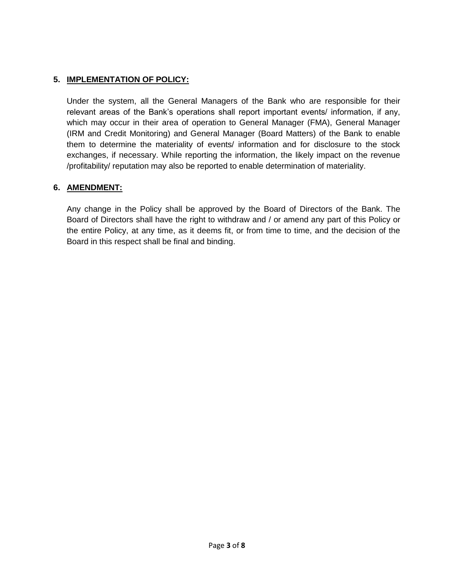### **5. IMPLEMENTATION OF POLICY:**

Under the system, all the General Managers of the Bank who are responsible for their relevant areas of the Bank"s operations shall report important events/ information, if any, which may occur in their area of operation to General Manager (FMA), General Manager (IRM and Credit Monitoring) and General Manager (Board Matters) of the Bank to enable them to determine the materiality of events/ information and for disclosure to the stock exchanges, if necessary. While reporting the information, the likely impact on the revenue /profitability/ reputation may also be reported to enable determination of materiality.

#### **6. AMENDMENT:**

Any change in the Policy shall be approved by the Board of Directors of the Bank. The Board of Directors shall have the right to withdraw and / or amend any part of this Policy or the entire Policy, at any time, as it deems fit, or from time to time, and the decision of the Board in this respect shall be final and binding.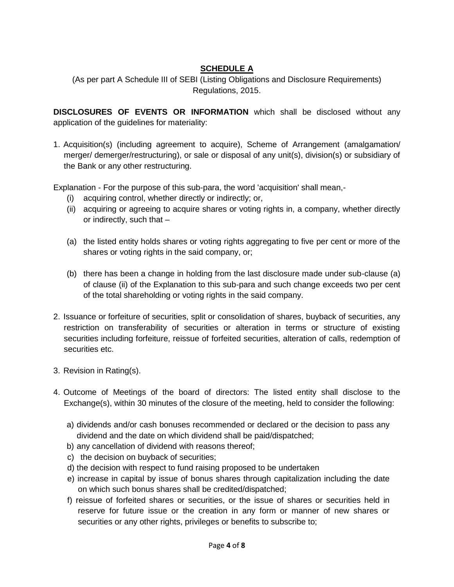# **SCHEDULE A**

(As per part A Schedule III of SEBI (Listing Obligations and Disclosure Requirements) Regulations, 2015.

**DISCLOSURES OF EVENTS OR INFORMATION** which shall be disclosed without any application of the guidelines for materiality:

1. Acquisition(s) (including agreement to acquire), Scheme of Arrangement (amalgamation/ merger/ demerger/restructuring), or sale or disposal of any unit(s), division(s) or subsidiary of the Bank or any other restructuring.

Explanation - For the purpose of this sub-para, the word 'acquisition' shall mean,-

- (i) acquiring control, whether directly or indirectly; or,
- (ii) acquiring or agreeing to acquire shares or voting rights in, a company, whether directly or indirectly, such that –
- (a) the listed entity holds shares or voting rights aggregating to five per cent or more of the shares or voting rights in the said company, or;
- (b) there has been a change in holding from the last disclosure made under sub-clause (a) of clause (ii) of the Explanation to this sub-para and such change exceeds two per cent of the total shareholding or voting rights in the said company.
- 2. Issuance or forfeiture of securities, split or consolidation of shares, buyback of securities, any restriction on transferability of securities or alteration in terms or structure of existing securities including forfeiture, reissue of forfeited securities, alteration of calls, redemption of securities etc.
- 3. Revision in Rating(s).
- 4. Outcome of Meetings of the board of directors: The listed entity shall disclose to the Exchange(s), within 30 minutes of the closure of the meeting, held to consider the following:
	- a) dividends and/or cash bonuses recommended or declared or the decision to pass any dividend and the date on which dividend shall be paid/dispatched;
	- b) any cancellation of dividend with reasons thereof;
	- c) the decision on buyback of securities;
	- d) the decision with respect to fund raising proposed to be undertaken
	- e) increase in capital by issue of bonus shares through capitalization including the date on which such bonus shares shall be credited/dispatched;
	- f) reissue of forfeited shares or securities, or the issue of shares or securities held in reserve for future issue or the creation in any form or manner of new shares or securities or any other rights, privileges or benefits to subscribe to;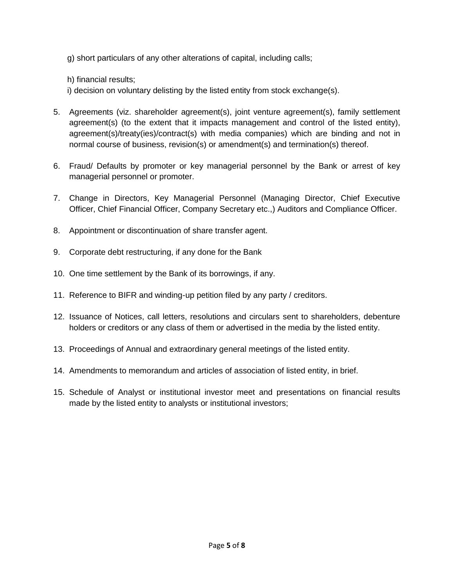g) short particulars of any other alterations of capital, including calls;

h) financial results;

i) decision on voluntary delisting by the listed entity from stock exchange(s).

- 5. Agreements (viz. shareholder agreement(s), joint venture agreement(s), family settlement agreement(s) (to the extent that it impacts management and control of the listed entity), agreement(s)/treaty(ies)/contract(s) with media companies) which are binding and not in normal course of business, revision(s) or amendment(s) and termination(s) thereof.
- 6. Fraud/ Defaults by promoter or key managerial personnel by the Bank or arrest of key managerial personnel or promoter.
- 7. Change in Directors, Key Managerial Personnel (Managing Director, Chief Executive Officer, Chief Financial Officer, Company Secretary etc.,) Auditors and Compliance Officer.
- 8. Appointment or discontinuation of share transfer agent.
- 9. Corporate debt restructuring, if any done for the Bank
- 10. One time settlement by the Bank of its borrowings, if any.
- 11. Reference to BIFR and winding-up petition filed by any party / creditors.
- 12. Issuance of Notices, call letters, resolutions and circulars sent to shareholders, debenture holders or creditors or any class of them or advertised in the media by the listed entity.
- 13. Proceedings of Annual and extraordinary general meetings of the listed entity.
- 14. Amendments to memorandum and articles of association of listed entity, in brief.
- 15. Schedule of Analyst or institutional investor meet and presentations on financial results made by the listed entity to analysts or institutional investors;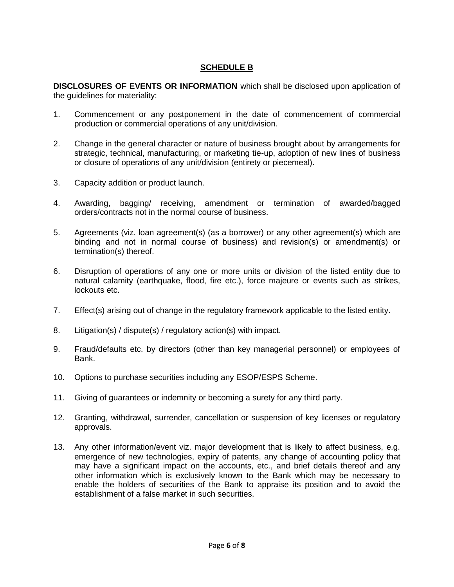### **SCHEDULE B**

**DISCLOSURES OF EVENTS OR INFORMATION** which shall be disclosed upon application of the guidelines for materiality:

- 1. Commencement or any postponement in the date of commencement of commercial production or commercial operations of any unit/division.
- 2. Change in the general character or nature of business brought about by arrangements for strategic, technical, manufacturing, or marketing tie-up, adoption of new lines of business or closure of operations of any unit/division (entirety or piecemeal).
- 3. Capacity addition or product launch.
- 4. Awarding, bagging/ receiving, amendment or termination of awarded/bagged orders/contracts not in the normal course of business.
- 5. Agreements (viz. loan agreement(s) (as a borrower) or any other agreement(s) which are binding and not in normal course of business) and revision(s) or amendment(s) or termination(s) thereof.
- 6. Disruption of operations of any one or more units or division of the listed entity due to natural calamity (earthquake, flood, fire etc.), force majeure or events such as strikes, lockouts etc.
- 7. Effect(s) arising out of change in the regulatory framework applicable to the listed entity.
- 8. Litigation(s) / dispute(s) / regulatory action(s) with impact.
- 9. Fraud/defaults etc. by directors (other than key managerial personnel) or employees of Bank.
- 10. Options to purchase securities including any ESOP/ESPS Scheme.
- 11. Giving of guarantees or indemnity or becoming a surety for any third party.
- 12. Granting, withdrawal, surrender, cancellation or suspension of key licenses or regulatory approvals.
- 13. Any other information/event viz. major development that is likely to affect business, e.g. emergence of new technologies, expiry of patents, any change of accounting policy that may have a significant impact on the accounts, etc., and brief details thereof and any other information which is exclusively known to the Bank which may be necessary to enable the holders of securities of the Bank to appraise its position and to avoid the establishment of a false market in such securities.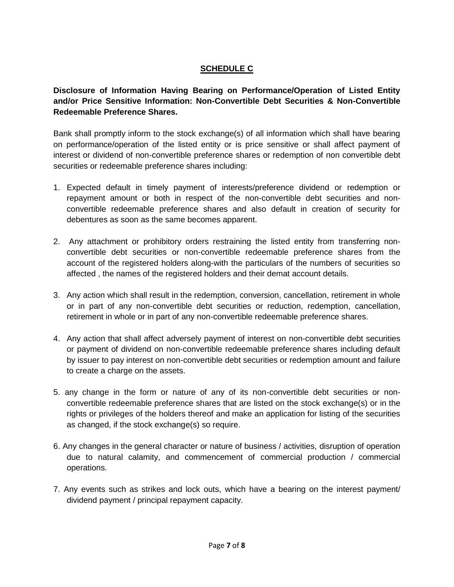# **SCHEDULE C**

**Disclosure of Information Having Bearing on Performance/Operation of Listed Entity and/or Price Sensitive Information: Non-Convertible Debt Securities & Non-Convertible Redeemable Preference Shares.**

Bank shall promptly inform to the stock exchange(s) of all information which shall have bearing on performance/operation of the listed entity or is price sensitive or shall affect payment of interest or dividend of non-convertible preference shares or redemption of non convertible debt securities or redeemable preference shares including:

- 1. Expected default in timely payment of interests/preference dividend or redemption or repayment amount or both in respect of the non-convertible debt securities and nonconvertible redeemable preference shares and also default in creation of security for debentures as soon as the same becomes apparent.
- 2. Any attachment or prohibitory orders restraining the listed entity from transferring nonconvertible debt securities or non-convertible redeemable preference shares from the account of the registered holders along-with the particulars of the numbers of securities so affected , the names of the registered holders and their demat account details.
- 3. Any action which shall result in the redemption, conversion, cancellation, retirement in whole or in part of any non-convertible debt securities or reduction, redemption, cancellation, retirement in whole or in part of any non-convertible redeemable preference shares.
- 4. Any action that shall affect adversely payment of interest on non-convertible debt securities or payment of dividend on non-convertible redeemable preference shares including default by issuer to pay interest on non-convertible debt securities or redemption amount and failure to create a charge on the assets.
- 5. any change in the form or nature of any of its non-convertible debt securities or nonconvertible redeemable preference shares that are listed on the stock exchange(s) or in the rights or privileges of the holders thereof and make an application for listing of the securities as changed, if the stock exchange(s) so require.
- 6. Any changes in the general character or nature of business / activities, disruption of operation due to natural calamity, and commencement of commercial production / commercial operations.
- 7. Any events such as strikes and lock outs, which have a bearing on the interest payment/ dividend payment / principal repayment capacity.